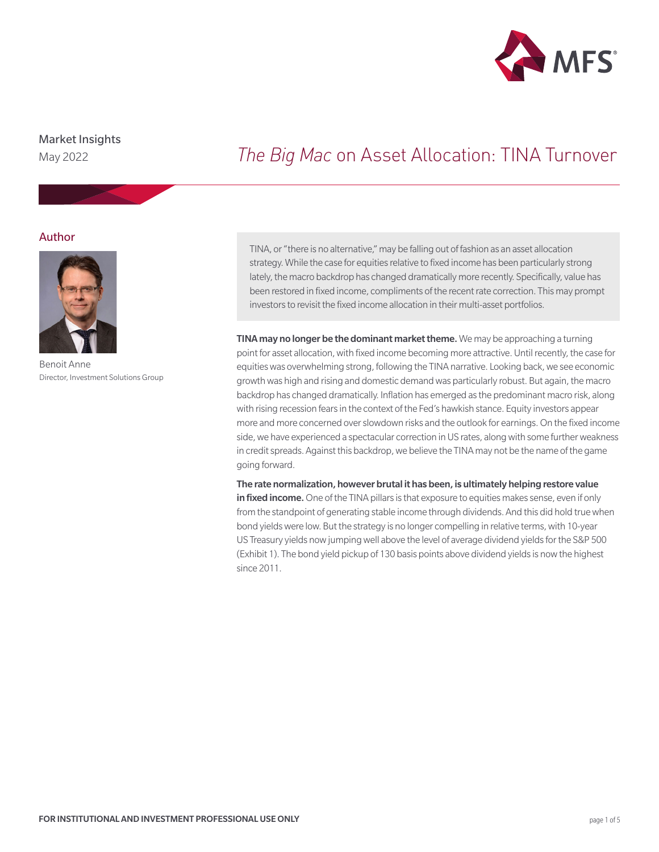

## Market Insights

May 2022

# *The Big Mac* on Asset Allocation: TINA Turnover

### Author



Benoit Anne Director, Investment Solutions Group

TINA, or "there is no alternative," may be falling out of fashion as an asset allocation strategy. While the case for equities relative to fixed income has been particularly strong lately, the macro backdrop has changed dramatically more recently. Specifically, value has been restored in fixed income, compliments of the recent rate correction. This may prompt investors to revisit the fixed income allocation in their multi-asset portfolios.

TINA may no longer be the dominant market theme. We may be approaching a turning point for asset allocation, with fixed income becoming more attractive. Until recently, the case for equities was overwhelming strong, following the TINA narrative. Looking back, we see economic growth was high and rising and domestic demand was particularly robust. But again, the macro backdrop has changed dramatically. Inflation has emerged as the predominant macro risk, along with rising recession fears in the context of the Fed's hawkish stance. Equity investors appear more and more concerned over slowdown risks and the outlook for earnings. On the fixed income side, we have experienced a spectacular correction in US rates, along with some further weakness in credit spreads. Against this backdrop, we believe the TINA may not be the name of the game going forward.

The rate normalization, however brutal it has been, is ultimately helping restore value in fixed income. One of the TINA pillars is that exposure to equities makes sense, even if only from the standpoint of generating stable income through dividends. And this did hold true when bond yields were low. But the strategy is no longer compelling in relative terms, with 10-year US Treasury yields now jumping well above the level of average dividend yields for the S&P 500 (Exhibit 1). The bond yield pickup of 130 basis points above dividend yields is now the highest since 2011.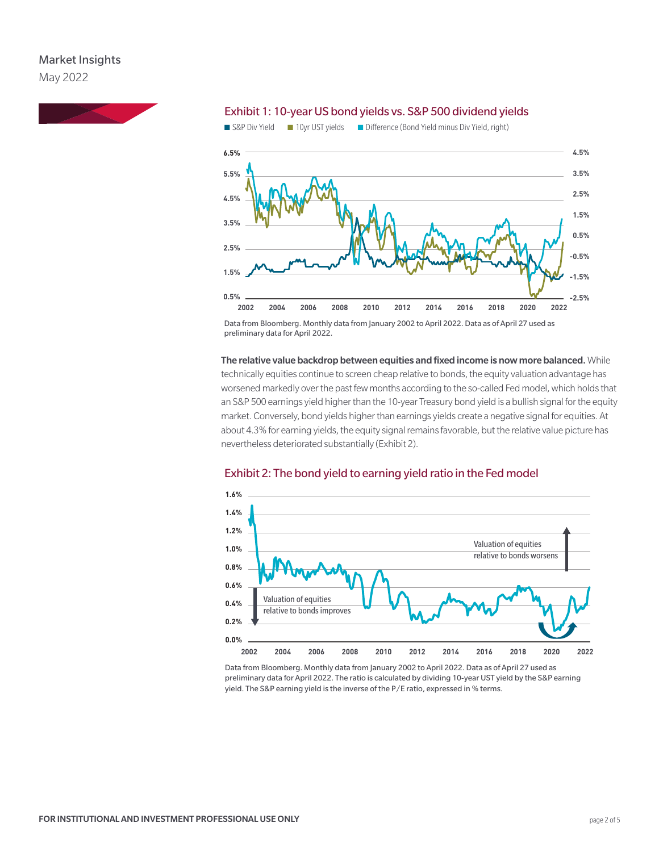

#### Exhibit 1: 10-year US bond yields vs. S&P 500 dividend yields



Data from Bloomberg. Monthly data from January 2002 to April 2022. Data as of April 27 used as preliminary data for April 2022.

The relative value backdrop between equities and fixed income is now more balanced. While technically equities continue to screen cheap relative to bonds, the equity valuation advantage has worsened markedly over the past few months according to the so-called Fed model, which holds that an S&P 500 earnings yield higher than the 10-year Treasury bond yield is a bullish signal for the equity market. Conversely, bond yields higher than earnings yields create a negative signal for equities. At about 4.3% for earning yields, the equity signal remains favorable, but the relative value picture has nevertheless deteriorated substantially (Exhibit 2).



#### Exhibit 2: The bond yield to earning yield ratio in the Fed model

Data from Bloomberg. Monthly data from January 2002 to April 2022. Data as of April 27 used as preliminary data for April 2022. The ratio is calculated by dividing 10-year UST yield by the S&P earning yield. The S&P earning yield is the inverse of the P/E ratio, expressed in % terms.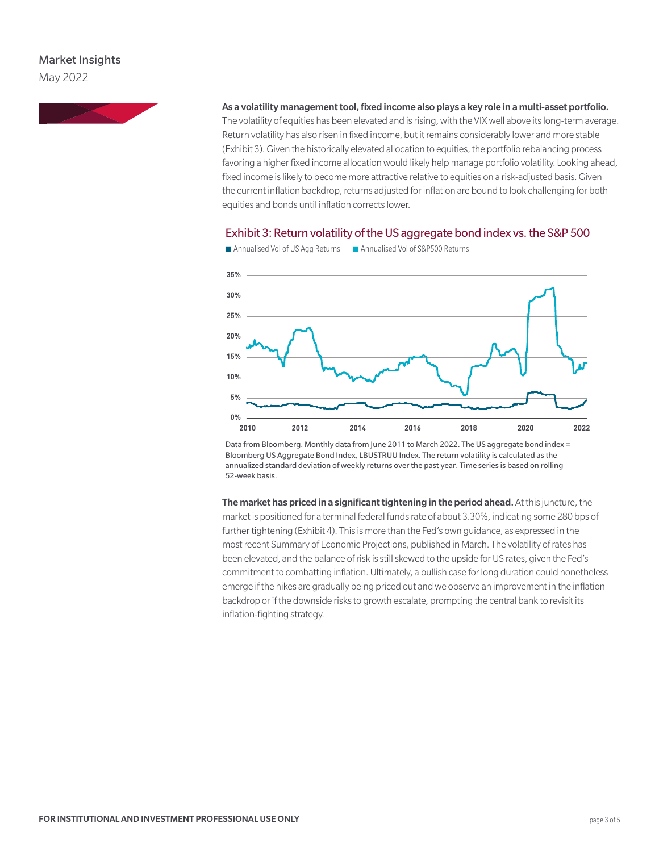## Market Insights May 2022



#### As a volatility management tool, fixed income also plays a key role in a multi-asset portfolio.

The volatility of equities has been elevated and is rising, with the VIX well above its long-term average. Return volatility has also risen in fixed income, but it remains considerably lower and more stable (Exhibit 3). Given the historically elevated allocation to equities, the portfolio rebalancing process favoring a higher fixed income allocation would likely help manage portfolio volatility. Looking ahead, fixed income is likely to become more attractive relative to equities on a risk-adjusted basis. Given the current inflation backdrop, returns adjusted for inflation are bound to look challenging for both equities and bonds until inflation corrects lower.

#### Exhibit 3: Return volatility of the US aggregate bond index vs. the S&P 500



■ Annualised Vol of US Agg Returns ■ Annualised Vol of S&P500 Returns

Data from Bloomberg. Monthly data from June 2011 to March 2022. The US aggregate bond index = Bloomberg US Aggregate Bond Index, LBUSTRUU Index. The return volatility is calculated as the annualized standard deviation of weekly returns over the past year. Time series is based on rolling 52-week basis.

The market has priced in a significant tightening in the period ahead. At this juncture, the market is positioned for a terminal federal funds rate of about 3.30%, indicating some 280 bps of further tightening (Exhibit 4). This is more than the Fed's own guidance, as expressed in the most recent Summary of Economic Projections, published in March. The volatility of rates has been elevated, and the balance of risk is still skewed to the upside for US rates, given the Fed's commitment to combatting inflation. Ultimately, a bullish case for long duration could nonetheless emerge if the hikes are gradually being priced out and we observe an improvement in the inflation backdrop or if the downside risks to growth escalate, prompting the central bank to revisit its inflation-fighting strategy.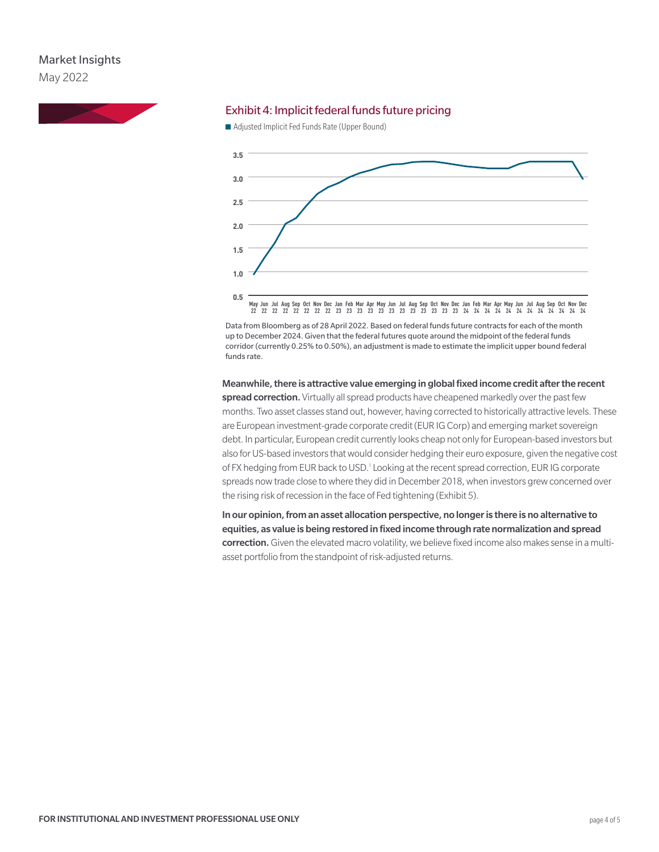## Market Insights May 2022



#### Exhibit 4: Implicit federal funds future pricing

■ Adjusted Implicit Fed Funds Rate (Upper Bound)



Data from Bloomberg as of 28 April 2022. Based on federal funds future contracts for each of the month up to December 2024. Given that the federal futures quote around the midpoint of the federal funds corridor (currently 0.25% to 0.50%), an adjustment is made to estimate the implicit upper bound federal funds rate.

Meanwhile, there is attractive value emerging in global fixed income credit after the recent spread correction. Virtually all spread products have cheapened markedly over the past few months. Two asset classes stand out, however, having corrected to historically attractive levels. These are European investment-grade corporate credit (EUR IG Corp) and emerging market sovereign debt. In particular, European credit currently looks cheap not only for European-based investors but also for US-based investors that would consider hedging their euro exposure, given the negative cost of FX hedging from EUR back to USD.<sup>1</sup> Looking at the recent spread correction, EUR IG corporate spreads now trade close to where they did in December 2018, when investors grew concerned over the rising risk of recession in the face of Fed tightening (Exhibit 5).

In our opinion, from an asset allocation perspective, no longer is there is no alternative to equities, as value is being restored in fixed income through rate normalization and spread correction. Given the elevated macro volatility, we believe fixed income also makes sense in a multiasset portfolio from the standpoint of risk-adjusted returns.